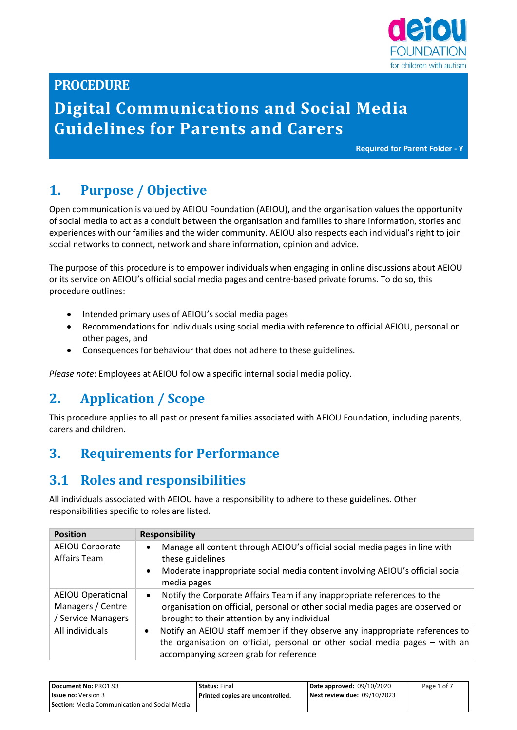

### **PROCEDURE**

# **Digital Communications and Social Media Guidelines for Parents and Carers**

**Required for Parent Folder - Y**

## **1. Purpose / Objective**

Open communication is valued by AEIOU Foundation (AEIOU), and the organisation values the opportunity of social media to act as a conduit between the organisation and families to share information, stories and experiences with our families and the wider community. AEIOU also respects each individual's right to join social networks to connect, network and share information, opinion and advice.

The purpose of this procedure is to empower individuals when engaging in online discussions about AEIOU or its service on AEIOU's official social media pages and centre-based private forums. To do so, this procedure outlines:

- Intended primary uses of AEIOU's social media pages
- Recommendations for individuals using social media with reference to official AEIOU, personal or other pages, and
- Consequences for behaviour that does not adhere to these guidelines.

*Please note*: Employees at AEIOU follow a specific internal social media policy.

### **2. Application / Scope**

This procedure applies to all past or present families associated with AEIOU Foundation, including parents, carers and children.

### **3. Requirements for Performance**

### **3.1 Roles and responsibilities**

All individuals associated with AEIOU have a responsibility to adhere to these guidelines. Other responsibilities specific to roles are listed.

| <b>Position</b>                                                   | <b>Responsibility</b>                                                                                                                                                                                                     |
|-------------------------------------------------------------------|---------------------------------------------------------------------------------------------------------------------------------------------------------------------------------------------------------------------------|
| AEIOU Corporate<br><b>Affairs Team</b>                            | Manage all content through AEIOU's official social media pages in line with<br>$\bullet$<br>these guidelines<br>Moderate inappropriate social media content involving AEIOU's official social<br>$\bullet$<br>media pages |
| <b>AEIOU Operational</b><br>Managers / Centre<br>Service Managers | Notify the Corporate Affairs Team if any inappropriate references to the<br>$\bullet$<br>organisation on official, personal or other social media pages are observed or<br>brought to their attention by any individual   |
| All individuals                                                   | Notify an AEIOU staff member if they observe any inappropriate references to<br>$\bullet$<br>the organisation on official, personal or other social media pages – with an<br>accompanying screen grab for reference       |

| Document No: PRO1.93                                 | <b>Status: Final</b>             | Date approved: 09/10/2020   | Page 1 of 7 |
|------------------------------------------------------|----------------------------------|-----------------------------|-------------|
| <b>Issue no:</b> Version 3                           | Printed copies are uncontrolled. | Next review due: 09/10/2023 |             |
| <b>Section:</b> Media Communication and Social Media |                                  |                             |             |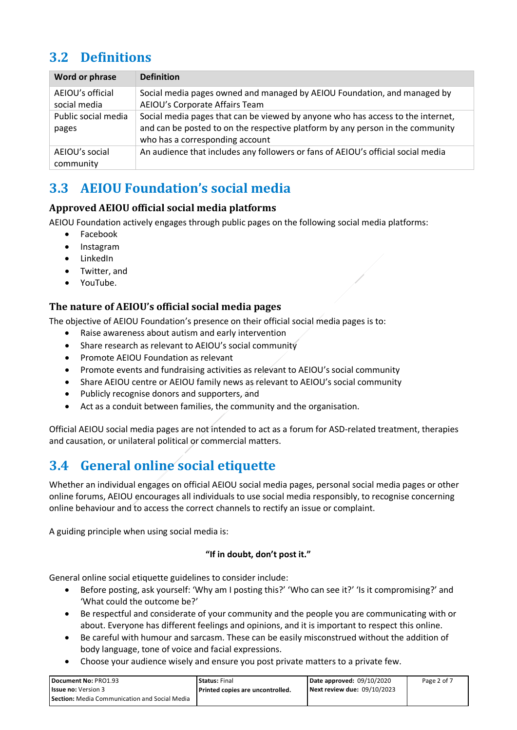## **3.2 Definitions**

| Word or phrase                   | <b>Definition</b>                                                                                                                                                                                    |
|----------------------------------|------------------------------------------------------------------------------------------------------------------------------------------------------------------------------------------------------|
| AEIOU's official<br>social media | Social media pages owned and managed by AEIOU Foundation, and managed by<br>AEIOU's Corporate Affairs Team                                                                                           |
| Public social media<br>pages     | Social media pages that can be viewed by anyone who has access to the internet,<br>and can be posted to on the respective platform by any person in the community<br>who has a corresponding account |
| AEIOU's social<br>community      | An audience that includes any followers or fans of AEIOU's official social media                                                                                                                     |

## **3.3 AEIOU Foundation's social media**

### **Approved AEIOU official social media platforms**

AEIOU Foundation actively engages through public pages on the following social media platforms:

- Facebook
- Instagram
- LinkedIn
- Twitter, and
- YouTube.

### **The nature of AEIOU's official social media pages**

The objective of AEIOU Foundation's presence on their official social media pages is to:

- Raise awareness about autism and early intervention
- Share research as relevant to AEIOU's social community
- Promote AEIOU Foundation as relevant
- Promote events and fundraising activities as relevant to AEIOU's social community
- Share AEIOU centre or AEIOU family news as relevant to AEIOU's social community
- Publicly recognise donors and supporters, and
- Act as a conduit between families, the community and the organisation.

Official AEIOU social media pages are not intended to act as a forum for ASD-related treatment, therapies and causation, or unilateral political or commercial matters.

## **3.4 General online social etiquette**

Whether an individual engages on official AEIOU social media pages, personal social media pages or other online forums, AEIOU encourages all individuals to use social media responsibly, to recognise concerning online behaviour and to access the correct channels to rectify an issue or complaint.

A guiding principle when using social media is:

#### **"If in doubt, don't post it."**

General online social etiquette guidelines to consider include:

- Before posting, ask yourself: 'Why am I posting this?' 'Who can see it?' 'Is it compromising?' and 'What could the outcome be?'
- Be respectful and considerate of your community and the people you are communicating with or about. Everyone has different feelings and opinions, and it is important to respect this online.
- Be careful with humour and sarcasm. These can be easily misconstrued without the addition of body language, tone of voice and facial expressions.
- Choose your audience wisely and ensure you post private matters to a private few.

| Document No: PRO1.93                                 | <b>Status: Final</b>             | Date approved: 09/10/2020   | Page 2 of 7 |
|------------------------------------------------------|----------------------------------|-----------------------------|-------------|
| <b>Issue no:</b> Version 3                           | Printed copies are uncontrolled. | Next review due: 09/10/2023 |             |
| <b>Section:</b> Media Communication and Social Media |                                  |                             |             |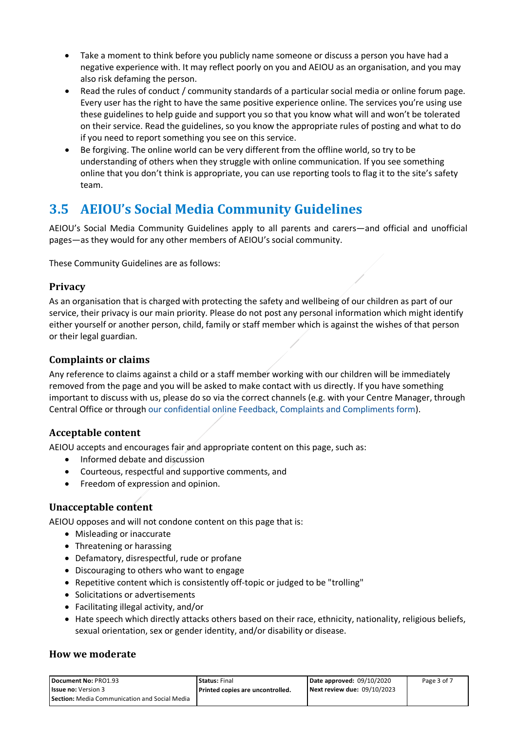- Take a moment to think before you publicly name someone or discuss a person you have had a negative experience with. It may reflect poorly on you and AEIOU as an organisation, and you may also risk defaming the person.
- Read the rules of conduct / community standards of a particular social media or online forum page. Every user has the right to have the same positive experience online. The services you're using use these guidelines to help guide and support you so that you know what will and won't be tolerated on their service. Read the guidelines, so you know the appropriate rules of posting and what to do if you need to report something you see on this service.
- Be forgiving. The online world can be very different from the offline world, so try to be understanding of others when they struggle with online communication. If you see something online that you don't think is appropriate, you can use reporting tools to flag it to the site's safety team.

## **3.5 AEIOU's Social Media Community Guidelines**

AEIOU's Social Media Community Guidelines apply to all parents and carers—and official and unofficial pages—as they would for any other members of AEIOU's social community.

These Community Guidelines are as follows:

### **Privacy**

As an organisation that is charged with protecting the safety and wellbeing of our children as part of our service, their privacy is our main priority. Please do not post any personal information which might identify either yourself or another person, child, family or staff member which is against the wishes of that person or their legal guardian.

#### **Complaints or claims**

Any reference to claims against a child or a staff member working with our children will be immediately removed from the page and you will be asked to make contact with us directly. If you have something important to discuss with us, please do so via the correct channels (e.g. with your Centre Manager, through Central Office or through our confidential online Feedback, Complaints and Compliments form).

### **Acceptable content**

AEIOU accepts and encourages fair and appropriate content on this page, such as:

- Informed debate and discussion
- Courteous, respectful and supportive comments, and
- Freedom of expression and opinion.

### **Unacceptable content**

AEIOU opposes and will not condone content on this page that is:

- Misleading or inaccurate
- Threatening or harassing
- Defamatory, disrespectful, rude or profane
- Discouraging to others who want to engage
- Repetitive content which is consistently off-topic or judged to be "trolling"
- Solicitations or advertisements
- Facilitating illegal activity, and/or
- Hate speech which directly attacks others based on their race, ethnicity, nationality, religious beliefs, sexual orientation, sex or gender identity, and/or disability or disease.

#### **How we moderate**

| Document No: PRO1.93                                 | <b>Status: Final</b>             | Date approved: 09/10/2020   | Page 3 of 7 |
|------------------------------------------------------|----------------------------------|-----------------------------|-------------|
| <b>Issue no:</b> Version 3                           | Printed copies are uncontrolled. | Next review due: 09/10/2023 |             |
| <b>Section:</b> Media Communication and Social Media |                                  |                             |             |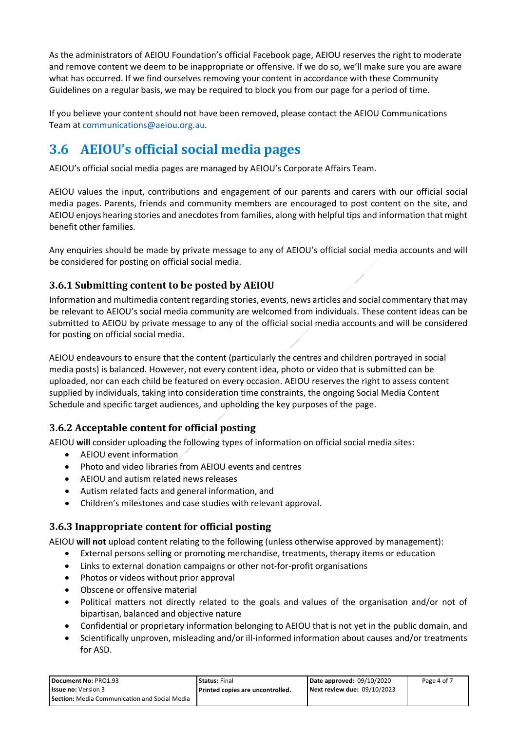As the administrators of AEIOU Foundation's official Facebook page, AEIOU reserves the right to moderate and remove content we deem to be inappropriate or offensive. If we do so, we'll make sure you are aware what has occurred. If we find ourselves removing your content in accordance with these Community Guidelines on a regular basis, we may be required to block you from our page for a period of time.

If you believe your content should not have been removed, please contact the AEIOU Communications Team at [communications@aeiou.org.au.](mailto:communications@aeiou.org.au)

## **3.6 AEIOU's official social media pages**

AEIOU's official social media pages are managed by AEIOU's Corporate Affairs Team.

AEIOU values the input, contributions and engagement of our parents and carers with our official social media pages. Parents, friends and community members are encouraged to post content on the site, and AEIOU enjoys hearing stories and anecdotes from families, along with helpful tips and information that might benefit other families.

Any enquiries should be made by private message to any of AEIOU's official social media accounts and will be considered for posting on official social media.

### **3.6.1 Submitting content to be posted by AEIOU**

Information and multimedia content regarding stories, events, news articles and social commentary that may be relevant to AEIOU's social media community are welcomed from individuals. These content ideas can be submitted to AEIOU by private message to any of the official social media accounts and will be considered for posting on official social media.

AEIOU endeavours to ensure that the content (particularly the centres and children portrayed in social media posts) is balanced. However, not every content idea, photo or video that is submitted can be uploaded, nor can each child be featured on every occasion. AEIOU reserves the right to assess content supplied by individuals, taking into consideration time constraints, the ongoing Social Media Content Schedule and specific target audiences, and upholding the key purposes of the page.

### **3.6.2 Acceptable content for official posting**

AEIOU **will** consider uploading the following types of information on official social media sites:

- AEIOU event information
- Photo and video libraries from AEIOU events and centres
- AEIOU and autism related news releases
- Autism related facts and general information, and
- Children's milestones and case studies with relevant approval.

### **3.6.3 Inappropriate content for official posting**

AEIOU **will not** upload content relating to the following (unless otherwise approved by management):

- External persons selling or promoting merchandise, treatments, therapy items or education
- Links to external donation campaigns or other not-for-profit organisations
- Photos or videos without prior approval
- Obscene or offensive material
- Political matters not directly related to the goals and values of the organisation and/or not of bipartisan, balanced and objective nature
- Confidential or proprietary information belonging to AEIOU that is not yet in the public domain, and
- Scientifically unproven, misleading and/or ill-informed information about causes and/or treatments for ASD.

| Document No: PRO1.93                                 | <b>Status: Final</b>             | Date approved: 09/10/2020   | Page 4 of 7 |
|------------------------------------------------------|----------------------------------|-----------------------------|-------------|
| <b>Issue no: Version 3</b>                           | Printed copies are uncontrolled. | Next review due: 09/10/2023 |             |
| <b>Section:</b> Media Communication and Social Media |                                  |                             |             |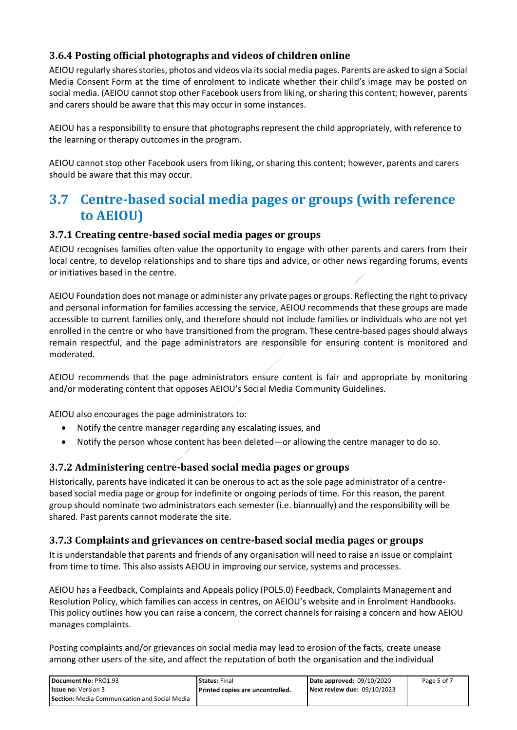### **3.6.4 Posting official photographs and videos of children online**

AEIOU regularly shares stories, photos and videos via its social media pages. Parents are asked to sign a Social Media Consent Form at the time of enrolment to indicate whether their child's image may be posted on social media. (AEIOU cannot stop other Facebook users from liking, or sharing this content; however, parents and carers should be aware that this may occur in some instances.

AEIOU has a responsibility to ensure that photographs represent the child appropriately, with reference to the learning or therapy outcomes in the program.

AEIOU cannot stop other Facebook users from liking, or sharing this content; however, parents and carers should be aware that this may occur.

## **3.7 Centre-based social media pages or groups (with reference to AEIOU)**

#### **3.7.1 Creating centre-based social media pages or groups**

AEIOU recognises families often value the opportunity to engage with other parents and carers from their local centre, to develop relationships and to share tips and advice, or other news regarding forums, events or initiatives based in the centre.

AEIOU Foundation does not manage or administer any private pages or groups. Reflecting the right to privacy and personal information for families accessing the service, AEIOU recommends that these groups are made accessible to current families only, and therefore should not include families or individuals who are not yet enrolled in the centre or who have transitioned from the program. These centre-based pages should always remain respectful, and the page administrators are responsible for ensuring content is monitored and moderated.

AEIOU recommends that the page administrators ensure content is fair and appropriate by monitoring and/or moderating content that opposes AEIOU's Social Media Community Guidelines.

AEIOU also encourages the page administrators to:

- Notify the centre manager regarding any escalating issues, and
- Notify the person whose content has been deleted—or allowing the centre manager to do so.

### **3.7.2 Administering centre-based social media pages or groups**

Historically, parents have indicated it can be onerous to act as the sole page administrator of a centrebased social media page or group for indefinite or ongoing periods of time. For this reason, the parent group should nominate two administrators each semester (i.e. biannually) and the responsibility will be shared. Past parents cannot moderate the site.

### **3.7.3 Complaints and grievances on centre-based social media pages or groups**

It is understandable that parents and friends of any organisation will need to raise an issue or complaint from time to time. This also assists AEIOU in improving our service, systems and processes.

AEIOU has a Feedback, Complaints and Appeals policy (POL5.0) Feedback, Complaints Management and Resolution Policy, which families can access in centres, on AEIOU's website and in Enrolment Handbooks. This policy outlines how you can raise a concern, the correct channels for raising a concern and how AEIOU manages complaints.

Posting complaints and/or grievances on social media may lead to erosion of the facts, create unease among other users of the site, and affect the reputation of both the organisation and the individual

| Document No: PRO1.93                                 | <b>Status: Final</b>             | Date approved: 09/10/2020   | Page 5 of 7 |
|------------------------------------------------------|----------------------------------|-----------------------------|-------------|
| <b>Issue no:</b> Version 3                           | Printed copies are uncontrolled. | Next review due: 09/10/2023 |             |
| <b>Section:</b> Media Communication and Social Media |                                  |                             |             |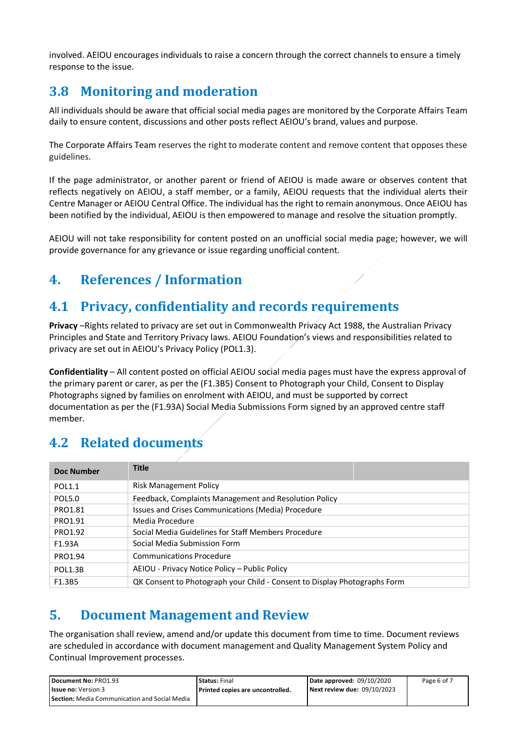involved. AEIOU encourages individuals to raise a concern through the correct channels to ensure a timely response to the issue.

## **3.8 Monitoring and moderation**

All individuals should be aware that official social media pages are monitored by the Corporate Affairs Team daily to ensure content, discussions and other posts reflect AEIOU's brand, values and purpose.

The Corporate Affairs Team reserves the right to moderate content and remove content that opposes these guidelines.

If the page administrator, or another parent or friend of AEIOU is made aware or observes content that reflects negatively on AEIOU, a staff member, or a family, AEIOU requests that the individual alerts their Centre Manager or AEIOU Central Office. The individual has the right to remain anonymous. Once AEIOU has been notified by the individual, AEIOU is then empowered to manage and resolve the situation promptly.

AEIOU will not take responsibility for content posted on an unofficial social media page; however, we will provide governance for any grievance or issue regarding unofficial content.

## **4. References / Information**

## **4.1 Privacy, confidentiality and records requirements**

**Privacy** –Rights related to privacy are set out in Commonwealth Privacy Act 1988, the Australian Privacy Principles and State and Territory Privacy laws. AEIOU Foundation's views and responsibilities related to privacy are set out in AEIOU's Privacy Policy (POL1.3).

**Confidentiality** – All content posted on official AEIOU social media pages must have the express approval of the primary parent or carer, as per the (F1.3B5) Consent to Photograph your Child, Consent to Display Photographs signed by families on enrolment with AEIOU, and must be supported by correct documentation as per the (F1.93A) Social Media Submissions Form signed by an approved centre staff member.

## **4.2 Related documents**

| <b>Doc Number</b> | <b>Title</b>                                                              |
|-------------------|---------------------------------------------------------------------------|
| <b>POL1.1</b>     | Risk Management Policy                                                    |
| <b>POL5.0</b>     | Feedback, Complaints Management and Resolution Policy                     |
| PRO1.81           | Issues and Crises Communications (Media) Procedure                        |
| PRO1.91           | Media Procedure                                                           |
| PRO1.92           | Social Media Guidelines for Staff Members Procedure                       |
| F1.93A            | Social Media Submission Form                                              |
| PRO1.94           | <b>Communications Procedure</b>                                           |
| <b>POL1.3B</b>    | AEIOU - Privacy Notice Policy – Public Policy                             |
| F1.3B5            | QK Consent to Photograph your Child - Consent to Display Photographs Form |

## **5. Document Management and Review**

The organisation shall review, amend and/or update this document from time to time. Document reviews are scheduled in accordance with document management and Quality Management System Policy and Continual Improvement processes.

| Document No: PRO1.93                                 | <b>Status: Final</b>             | Date approved: $09/10/2020$ | Page 6 of 7 |
|------------------------------------------------------|----------------------------------|-----------------------------|-------------|
| <b>Issue no:</b> Version 3                           | Printed copies are uncontrolled. | Next review due: 09/10/2023 |             |
| <b>Section:</b> Media Communication and Social Media |                                  |                             |             |